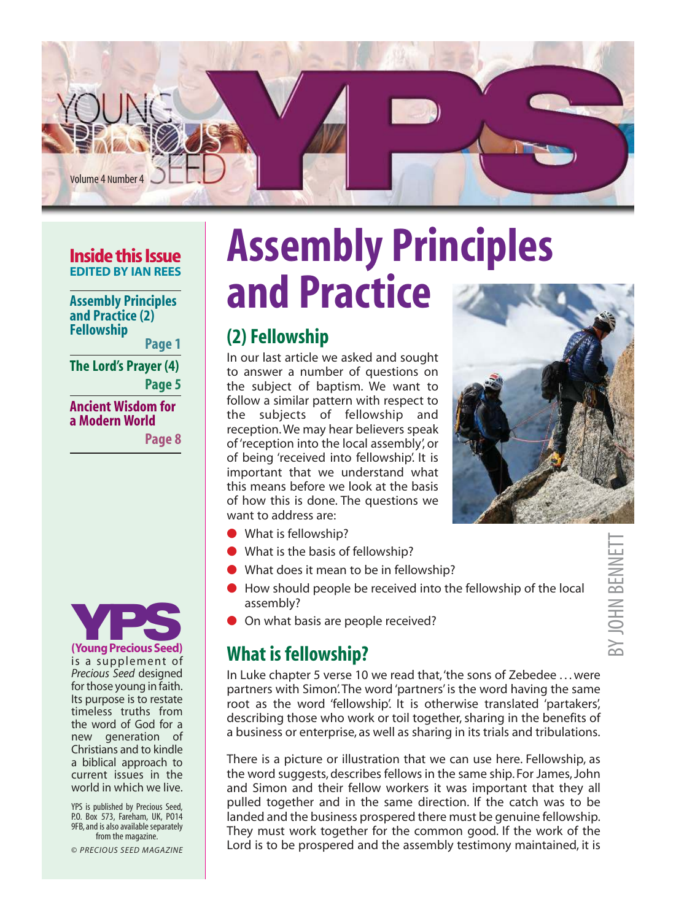

#### **Inside this Issue EDITED BY IAN REES**

**Assembly Principles and Practice (2) Fellowship**

**Page 1**

**The Lord's Prayer (4) Page 5**

**Ancient Wisdom for a Modern World**

**Page 8**



is a supplement of *Precious Seed* designed for those young in faith. Its purpose is to restate timeless truths from the word of God for a new generation of Christians and to kindle a biblical approach to current issues in the world in which we live.

YPS is published by Precious Seed, P.O. Box 573, Fareham, UK, PO14 9FB, and is also available separately from the magazine.

© *PRECIOUS SEED MAGAZINE*

# **Assembly Principles and Practice**

## **(2) Fellowship**

In our last article we asked and sought to answer a number of questions on the subject of baptism. We want to follow a similar pattern with respect to the subjects of fellowship and reception. We may hear believers speak of 'reception into the local assembly', or of being 'received into fellowship'. It is important that we understand what this means before we look at the basis of how this is done. The questions we want to address are:



- What is fellowship?
- What is the basis of fellowship?
- What does it mean to be in fellowship?
- How should people be received into the fellowship of the local assembly?
- On what basis are people received?

# **What is fellowship?**

In Luke chapter 5 verse 10 we read that, 'the sons of Zebedee . . . were partners with Simon'. The word 'partners' is the word having the same root as the word 'fellowship'. It is otherwise translated 'partakers', describing those who work or toil together, sharing in the benefits of a business or enterprise, as well as sharing in its trials and tribulations.

There is a picture or illustration that we can use here. Fellowship, as the word suggests, describes fellows in the same ship. For James, John and Simon and their fellow workers it was important that they all pulled together and in the same direction. If the catch was to be landed and the business prospered there must be genuine fellowship. They must work together for the common good. If the work of the Lord is to be prospered and the assembly testimony maintained, it is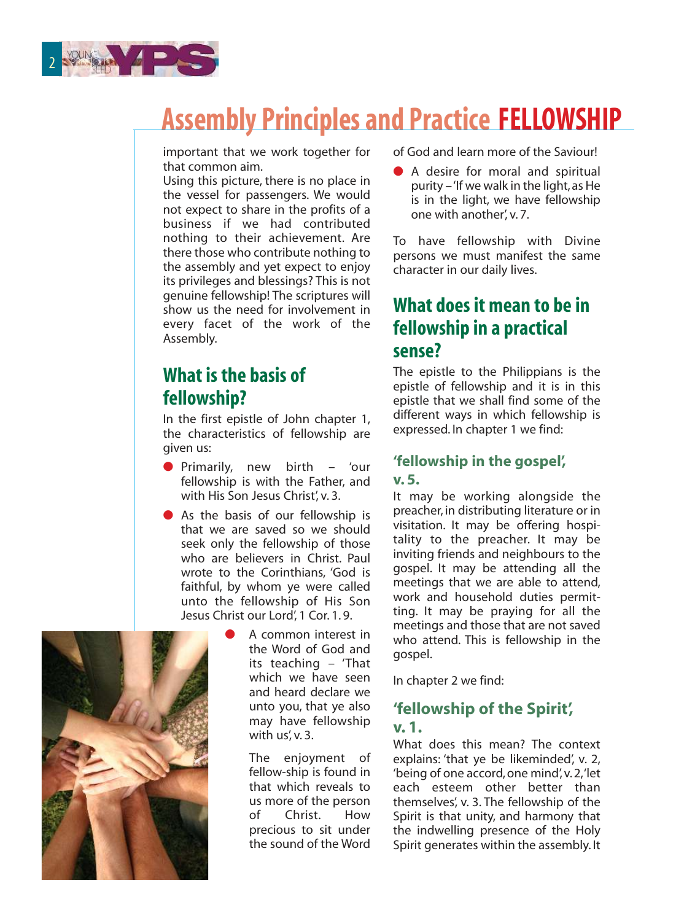

# **Assembly Principles and Practice FELLOWSHIP**

important that we work together for that common aim.

Using this picture, there is no place in the vessel for passengers. We would not expect to share in the profits of a business if we had contributed nothing to their achievement. Are there those who contribute nothing to the assembly and yet expect to enjoy its privileges and blessings? This is not genuine fellowship! The scriptures will show us the need for involvement in every facet of the work of the Assembly.

## **What is the basis of fellowship?**

In the first epistle of John chapter 1, the characteristics of fellowship are given us:

- Primarily, new birth 'our fellowship is with the Father, and with His Son Jesus Christ', v. 3.
- As the basis of our fellowship is that we are saved so we should seek only the fellowship of those who are believers in Christ. Paul wrote to the Corinthians, 'God is faithful, by whom ye were called unto the fellowship of His Son Jesus Christ our Lord', 1 Cor. 1. 9.
	- A common interest in the Word of God and its teaching – 'That which we have seen and heard declare we unto you, that ye also may have fellowship with us', v. 3.

The enjoyment of fellow-ship is found in that which reveals to us more of the person of Christ. How precious to sit under the sound of the Word of God and learn more of the Saviour!

● A desire for moral and spiritual purity – 'If we walk in the light, as He is in the light, we have fellowship one with another', v. 7.

To have fellowship with Divine persons we must manifest the same character in our daily lives.

### **What does it mean to be in fellowship in a practical sense?**

The epistle to the Philippians is the epistle of fellowship and it is in this epistle that we shall find some of the different ways in which fellowship is expressed. In chapter 1 we find:

#### **'fellowship in the gospel', v. 5.**

It may be working alongside the preacher, in distributing literature or in visitation. It may be offering hospitality to the preacher. It may be inviting friends and neighbours to the gospel. It may be attending all the meetings that we are able to attend, work and household duties permitting. It may be praying for all the meetings and those that are not saved who attend. This is fellowship in the gospel.

In chapter 2 we find:

#### **'fellowship of the Spirit', v. 1.**

What does this mean? The context explains: 'that ye be likeminded', v. 2, 'being of one accord, one mind', v. 2, 'let each esteem other better than themselves', v. 3. The fellowship of the Spirit is that unity, and harmony that the indwelling presence of the Holy Spirit generates within the assembly. It

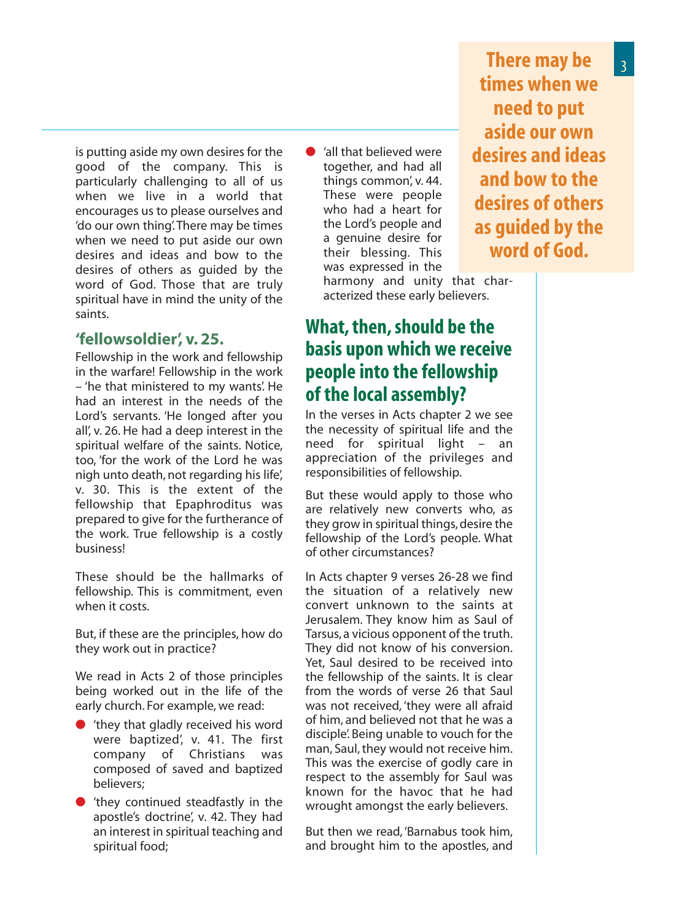is putting aside my own desires for the good of the company. This is particularly challenging to all of us when we live in a world that encourages us to please ourselves and 'do our own thing'. There may be times when we need to put aside our own desires and ideas and bow to the desires of others as guided by the word of God. Those that are truly spiritual have in mind the unity of the saints.

#### **'fellowsoldier', v. 25.**

Fellowship in the work and fellowship in the warfare! Fellowship in the work – 'he that ministered to my wants'. He had an interest in the needs of the Lord's servants. 'He longed after you all', v. 26. He had a deep interest in the spiritual welfare of the saints. Notice, too, 'for the work of the Lord he was nigh unto death, not regarding his life', v. 30. This is the extent of the fellowship that Epaphroditus was prepared to give for the furtherance of the work. True fellowship is a costly business!

These should be the hallmarks of fellowship. This is commitment, even when it costs.

But, if these are the principles, how do they work out in practice?

We read in Acts 2 of those principles being worked out in the life of the early church. For example, we read:

- 'they that gladly received his word were baptized', v. 41. The first company of Christians was composed of saved and baptized believers;
- 'they continued steadfastly in the apostle's doctrine', v. 42. They had an interest in spiritual teaching and spiritual food;

'all that believed were together, and had all things common', v. 44. These were people who had a heart for the Lord's people and a genuine desire for their blessing. This was expressed in the

**There may be times when we need to put aside our own desires and ideas and bow to the desires of others as guided by the word of God.** 

harmony and unity that characterized these early believers.

### **What, then, should be the basis upon which we receive people into the fellowship of the local assembly?**

In the verses in Acts chapter 2 we see the necessity of spiritual life and the need for spiritual light – an appreciation of the privileges and responsibilities of fellowship.

But these would apply to those who are relatively new converts who, as they grow in spiritual things, desire the fellowship of the Lord's people. What of other circumstances?

In Acts chapter 9 verses 26-28 we find the situation of a relatively new convert unknown to the saints at Jerusalem. They know him as Saul of Tarsus, a vicious opponent of the truth. They did not know of his conversion. Yet, Saul desired to be received into the fellowship of the saints. It is clear from the words of verse 26 that Saul was not received, 'they were all afraid of him, and believed not that he was a disciple'. Being unable to vouch for the man, Saul, they would not receive him. This was the exercise of godly care in respect to the assembly for Saul was known for the havoc that he had wrought amongst the early believers.

But then we read, 'Barnabus took him, and brought him to the apostles, and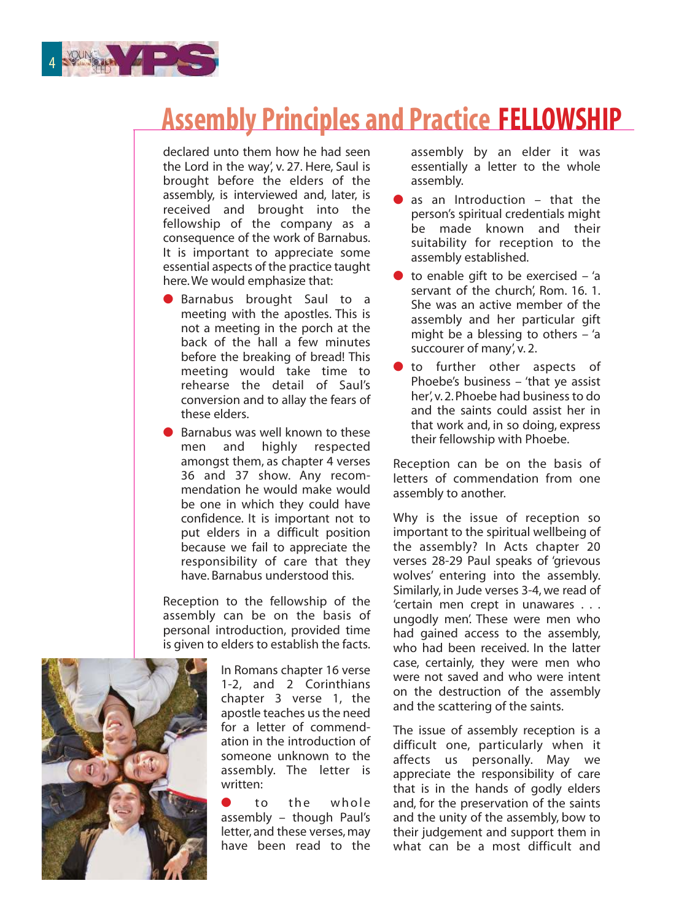

# **Assembly Principles and Practice FELLOWSHIP**

declared unto them how he had seen the Lord in the way', v. 27. Here, Saul is brought before the elders of the assembly, is interviewed and, later, is received and brought into the fellowship of the company as a consequence of the work of Barnabus. It is important to appreciate some essential aspects of the practice taught here. We would emphasize that:

- Barnabus brought Saul to a meeting with the apostles. This is not a meeting in the porch at the back of the hall a few minutes before the breaking of bread! This meeting would take time to rehearse the detail of Saul's conversion and to allay the fears of these elders.
- **Barnabus was well known to these**<br>men and highly respected men and highly respected amongst them, as chapter 4 verses 36 and 37 show. Any recommendation he would make would be one in which they could have confidence. It is important not to put elders in a difficult position because we fail to appreciate the responsibility of care that they have. Barnabus understood this.

Reception to the fellowship of the assembly can be on the basis of personal introduction, provided time is given to elders to establish the facts.



In Romans chapter 16 verse 1-2, and 2 Corinthians chapter 3 verse 1, the apostle teaches us the need for a letter of commendation in the introduction of someone unknown to the assembly. The letter is written:

● to the whole assembly – though Paul's letter, and these verses, may have been read to the assembly by an elder it was essentially a letter to the whole assembly.

- as an Introduction  $-$  that the person's spiritual credentials might be made known and their suitability for reception to the assembly established.
- to enable gift to be exercised 'a servant of the church' Rom. 16, 1. She was an active member of the assembly and her particular gift might be a blessing to others – 'a succourer of many', v. 2.
- **•** to further other aspects of Phoebe's business – 'that ye assist her' v. 2. Phoebe had business to do and the saints could assist her in that work and, in so doing, express their fellowship with Phoebe.

Reception can be on the basis of letters of commendation from one assembly to another.

Why is the issue of reception so important to the spiritual wellbeing of the assembly? In Acts chapter 20 verses 28-29 Paul speaks of 'grievous wolves' entering into the assembly. Similarly, in Jude verses 3-4, we read of 'certain men crept in unawares . . . ungodly men'. These were men who had gained access to the assembly, who had been received. In the latter case, certainly, they were men who were not saved and who were intent on the destruction of the assembly and the scattering of the saints.

The issue of assembly reception is a difficult one, particularly when it affects us personally. May we appreciate the responsibility of care that is in the hands of godly elders and, for the preservation of the saints and the unity of the assembly, bow to their judgement and support them in what can be a most difficult and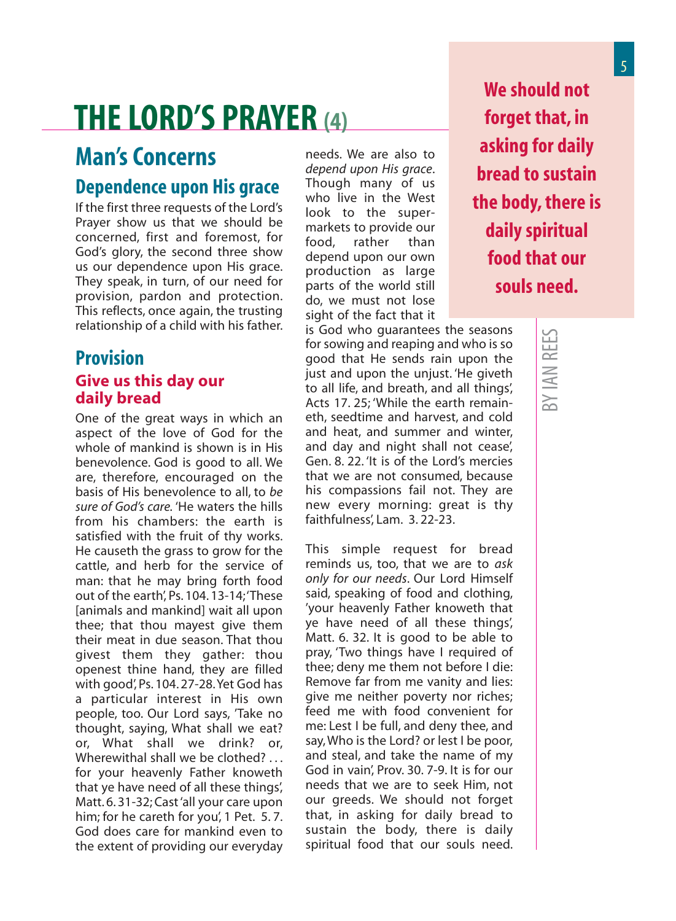# **THE LORD'S PRAYER (4)**

# **Man's Concerns**

### **Dependence upon His grace**

If the first three requests of the Lord's Prayer show us that we should be concerned, first and foremost, for God's glory, the second three show us our dependence upon His grace. They speak, in turn, of our need for provision, pardon and protection. This reflects, once again, the trusting relationship of a child with his father.

### **Provision Give us this day our daily bread**

One of the great ways in which an aspect of the love of God for the whole of mankind is shown is in His benevolence. God is good to all. We are, therefore, encouraged on the basis of His benevolence to all, to *be sure of God's care.* 'He waters the hills from his chambers: the earth is satisfied with the fruit of thy works. He causeth the grass to grow for the cattle, and herb for the service of man: that he may bring forth food out of the earth', Ps. 104. 13-14; 'These [animals and mankind] wait all upon thee; that thou mayest give them their meat in due season. That thou givest them they gather: thou openest thine hand, they are filled with good', Ps. 104. 27-28. Yet God has a particular interest in His own people, too. Our Lord says, 'Take no thought, saying, What shall we eat? or, What shall we drink? or, Wherewithal shall we be clothed? ... for your heavenly Father knoweth that ye have need of all these things', Matt. 6. 31-32; Cast 'all your care upon him; for he careth for you', 1 Pet. 5.7. God does care for mankind even to the extent of providing our everyday

needs. We are also to *depend upon His grace*. Though many of us who live in the West look to the supermarkets to provide our<br>food. rather than rather than depend upon our own production as large parts of the world still do, we must not lose sight of the fact that it

is God who guarantees the seasons for sowing and reaping and who is so good that He sends rain upon the just and upon the unjust. 'He giveth to all life, and breath, and all things', Acts 17. 25; 'While the earth remaineth, seedtime and harvest, and cold and heat, and summer and winter, and day and night shall not cease', Gen. 8. 22. 'It is of the Lord's mercies that we are not consumed, because his compassions fail not. They are new every morning: great is thy faithfulness', Lam. 3. 22-23.

This simple request for bread reminds us, too, that we are to *ask only for our needs*. Our Lord Himself said, speaking of food and clothing, 'your heavenly Father knoweth that ye have need of all these things', Matt. 6. 32. It is good to be able to pray, 'Two things have I required of thee; deny me them not before I die: Remove far from me vanity and lies: give me neither poverty nor riches; feed me with food convenient for me: Lest I be full, and deny thee, and say, Who is the Lord? or lest I be poor, and steal, and take the name of my God in vain', Prov. 30. 7-9. It is for our needs that we are to seek Him, not our greeds. We should not forget that, in asking for daily bread to sustain the body, there is daily spiritual food that our souls need.

**We should not forget that, in asking for daily bread to sustain the body, there is daily spiritual food that our souls need.**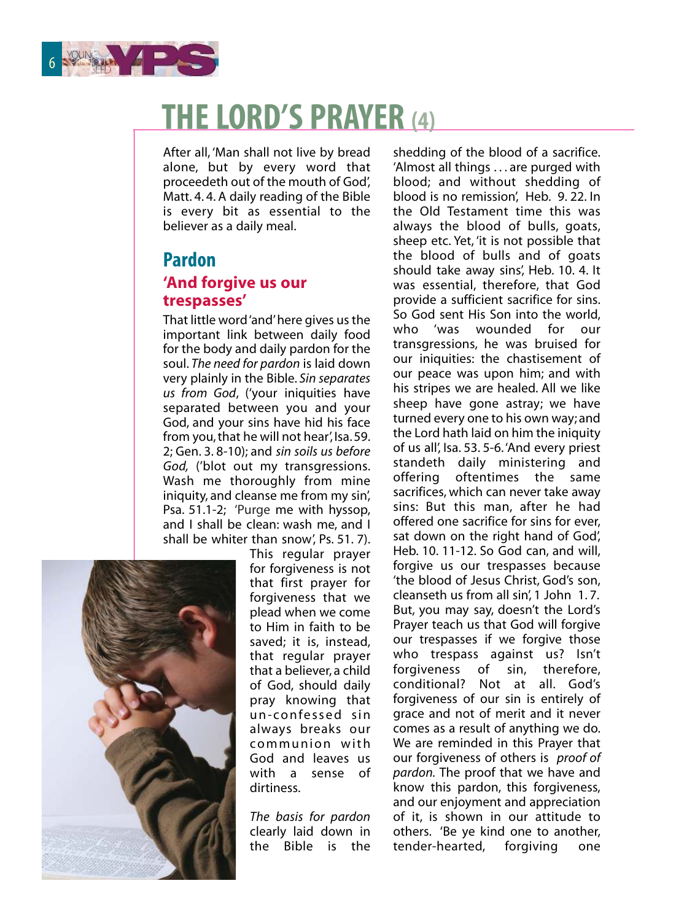

# **THE LORD'S PRAYER (4)**

After all, 'Man shall not live by bread alone, but by every word that proceedeth out of the mouth of God', Matt. 4. 4. A daily reading of the Bible is every bit as essential to the believer as a daily meal.

### **Pardon 'And forgive us our trespasses'**

That little word 'and' here gives us the important link between daily food for the body and daily pardon for the soul. *The need for pardon* is laid down very plainly in the Bible. *Sin separates us from God*, ('your iniquities have separated between you and your God, and your sins have hid his face from you, that he will not hear', Isa. 59. 2; Gen. 3. 8-10); and *sin soils us before God,* ('blot out my transgressions. Wash me thoroughly from mine iniquity, and cleanse me from my sin'. Psa. 51.1-2; 'Purge me with hyssop, and I shall be clean: wash me, and I shall be whiter than snow', Ps. 51. 7).



This regular prayer for forgiveness is not that first prayer for forgiveness that we plead when we come to Him in faith to be saved; it is, instead, that regular prayer that a believer, a child of God, should daily pray knowing that un-confessed sin always breaks our communion with God and leaves us with a sense of dirtiness.

*The basis for pardon* clearly laid down in the Bible is the shedding of the blood of a sacrifice. 'Almost all things . . . are purged with blood; and without shedding of blood is no remission', Heb. 9. 22. In the Old Testament time this was always the blood of bulls, goats, sheep etc. Yet, 'it is not possible that the blood of bulls and of goats should take away sins', Heb. 10. 4. It was essential, therefore, that God provide a sufficient sacrifice for sins. So God sent His Son into the world,<br>who 'was wounded for our who 'was wounded for our transgressions, he was bruised for our iniquities: the chastisement of our peace was upon him; and with his stripes we are healed. All we like sheep have gone astray; we have turned every one to his own way; and the Lord hath laid on him the iniquity of us all', Isa. 53. 5-6. 'And every priest standeth daily ministering and offering oftentimes the same sacrifices, which can never take away sins: But this man, after he had offered one sacrifice for sins for ever, sat down on the right hand of God', Heb. 10. 11-12. So God can, and will, forgive us our trespasses because 'the blood of Jesus Christ, God's son, cleanseth us from all sin', 1 John 1. 7. But, you may say, doesn't the Lord's Prayer teach us that God will forgive our trespasses if we forgive those who trespass against us? Isn't forgiveness of sin, therefore, conditional? Not at all. God's forgiveness of our sin is entirely of grace and not of merit and it never comes as a result of anything we do. We are reminded in this Prayer that our forgiveness of others is *proof of pardon.* The proof that we have and know this pardon, this forgiveness, and our enjoyment and appreciation of it, is shown in our attitude to others. 'Be ye kind one to another, tender-hearted, forgiving one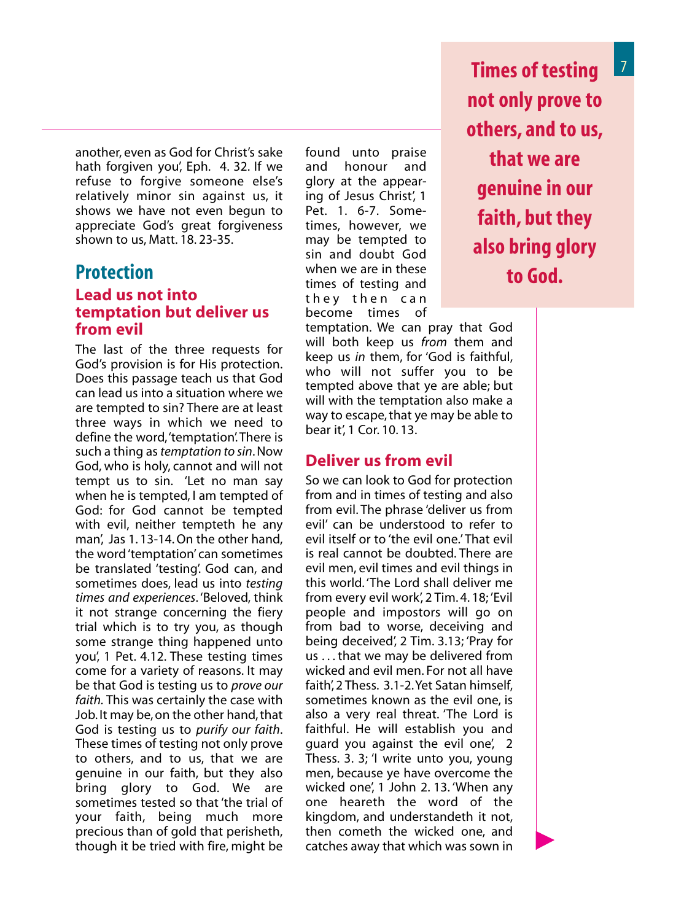another, even as God for Christ's sake hath forgiven you', Eph. 4. 32. If we refuse to forgive someone else's relatively minor sin against us, it shows we have not even begun to appreciate God's great forgiveness shown to us, Matt. 18. 23-35.

### **Protection Lead us not into temptation but deliver us from evil**

The last of the three requests for God's provision is for His protection. Does this passage teach us that God can lead us into a situation where we are tempted to sin? There are at least three ways in which we need to define the word, 'temptation'. There is such a thing as *temptation to sin*. Now God, who is holy, cannot and will not tempt us to sin. 'Let no man say when he is tempted, I am tempted of God: for God cannot be tempted with evil, neither tempteth he any man', Jas 1. 13-14. On the other hand, the word 'temptation' can sometimes be translated 'testing'. God can, and sometimes does, lead us into *testing times and experiences*. 'Beloved, think it not strange concerning the fiery trial which is to try you, as though some strange thing happened unto you', 1 Pet. 4.12. These testing times come for a variety of reasons. It may be that God is testing us to *prove our faith.* This was certainly the case with Job. It may be, on the other hand, that God is testing us to *purify our faith*. These times of testing not only prove to others, and to us, that we are genuine in our faith, but they also bring glory to God. We are sometimes tested so that 'the trial of your faith, being much more precious than of gold that perisheth, though it be tried with fire, might be

found unto praise and honour and glory at the appearing of Jesus Christ', 1 Pet. 1. 6-7. Sometimes, however, we may be tempted to sin and doubt God when we are in these times of testing and they then can become times of

<sup>7</sup> **Times of testing not only prove to others, and to us, that we are genuine in our faith, but they also bring glory to God.** 

temptation. We can pray that God will both keep us *from* them and keep us *in* them, for 'God is faithful, who will not suffer you to be tempted above that ye are able; but will with the temptation also make a way to escape, that ye may be able to bear it', 1 Cor. 10. 13.

#### **Deliver us from evil**

So we can look to God for protection from and in times of testing and also from evil. The phrase 'deliver us from evil' can be understood to refer to evil itself or to 'the evil one' That evil is real cannot be doubted. There are evil men, evil times and evil things in this world. 'The Lord shall deliver me from every evil work', 2 Tim. 4. 18; 'Evil people and impostors will go on from bad to worse, deceiving and being deceived', 2 Tim. 3.13; 'Pray for us . . . that we may be delivered from wicked and evil men. For not all have faith', 2 Thess. 3.1-2. Yet Satan himself, sometimes known as the evil one, is also a very real threat. 'The Lord is faithful. He will establish you and guard you against the evil one', 2 Thess. 3. 3; 'I write unto you, young men, because ye have overcome the wicked one', 1 John 2. 13. 'When any one heareth the word of the kingdom, and understandeth it not, then cometh the wicked one, and catches away that which was sown in